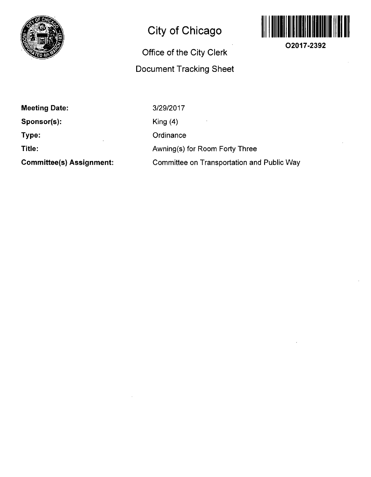

## **City of Chicago**

## **Office of the City Clerk Document Tracking Sheet**



**O2017-2392** 

**Meeting Date: Sponsor(s): Type: Title:** 

**Committee(s) Assignment:** 

3/29/2017 King (4) **Ordinance** Awning(s) for Room Forty Three Committee on Transportation and Public Way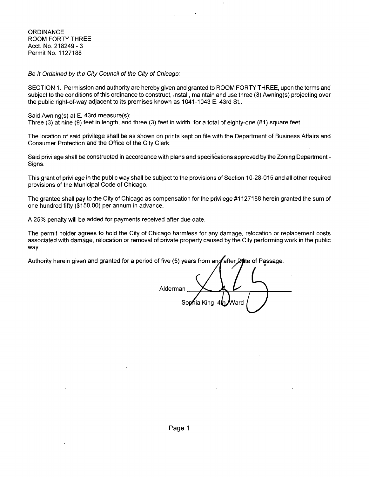**ORDINANCE** ROOM FORTY THREE Acct, No. 218249-3 Permit No. 1127188

Be It Ordained by the City Council of the City of Chicago:

SECTION 1. Permission and authority are hereby given and granted to ROOM FORTY THREE, upon the terms and subject to the conditions of this ordinance to construct, install, maintain and use three (3) Awning(s) projecting over the public right-of-way adjacent to its premises known as 1041-1043 E. 43rd St..

Said Awning(s) at E. 43rd measure(s):

Three (3) at nine (9) feet in length, and three (3) feet in width for a total of eighty-one (81) square feet.

The location of said privilege shall be as shown on prints kept on file with the Department of Business Affairs and Consumer Protection and the Office of the City Clerk.

Said privilege shall be constructed in accordance with plans and specifications approved by the Zoning Department - Signs.

This grant of privilege in the public way shall be subject to the provisions of Section 10-28-015 and all other required provisions of the Municipal Code of Chicago.

The grantee shall pay to the City of Chicago as compensation for the privilege #1127188 herein granted the sum of one hundred fifty (\$150.00) per annum in advance.

A 25% penalty will be added for payments received after due date.

The permit holder agrees to hold the City of Chicago harmless for any damage, relocation or replacement costs associated with damage, relocation or removal of private property caused by the City performing work in the public way.

Authority herein given and granted for a period of five (5) years from and after **Date** of Passage.

Alderman Sophia King Vard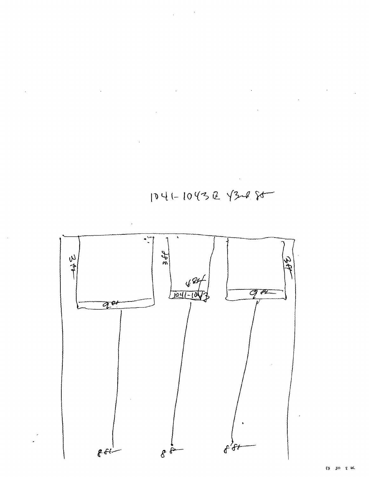



1041-10432 4328 80

 $\label{eq:2} \frac{1}{\sqrt{2}}\left(\frac{1}{\sqrt{2}}\right)^2\left(\frac{1}{\sqrt{2}}\right)^2.$  $\hat{\mathcal{L}}$  $\sim 10^{11}$  km s  $^{-1}$ 

 $\bar{\bar{z}}$